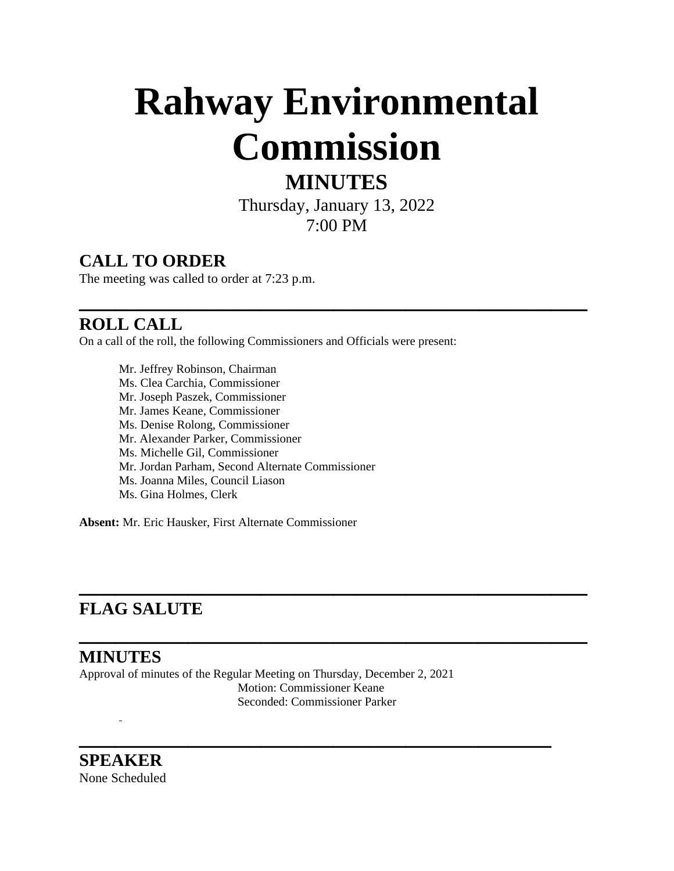# **Rahway Environmental Commission**

# **MINUTES**

Thursday, January 13, 2022 7:00 PM

**\_\_\_\_\_\_\_\_\_\_\_\_\_\_\_\_\_\_\_\_\_\_\_\_\_\_\_\_\_\_\_\_\_\_\_\_\_\_\_\_\_\_**

**\_\_\_\_\_\_\_\_\_\_\_\_\_\_\_\_\_\_\_\_\_\_\_\_\_\_\_\_\_\_\_\_\_\_\_\_\_\_\_\_\_\_**

**\_\_\_\_\_\_\_\_\_\_\_\_\_\_\_\_\_\_\_\_\_\_\_\_\_\_\_\_\_\_\_\_\_\_\_\_\_\_\_**

#### **CALL TO ORDER**

The meeting was called to order at 7:23 p.m.

#### **ROLL CALL**

On a call of the roll, the following Commissioners and Officials were present:

Mr. Jeffrey Robinson, Chairman Ms. Clea Carchia, Commissioner Mr. Joseph Paszek, Commissioner Mr. James Keane, Commissioner Ms. Denise Rolong, Commissioner Mr. Alexander Parker, Commissioner Ms. Michelle Gil, Commissioner Mr. Jordan Parham, Second Alternate Commissioner Ms. Joanna Miles, Council Liason Ms. Gina Holmes, Clerk

**Absent:** Mr. Eric Hausker, First Alternate Commissioner

### **FLAG SALUTE**

# **\_\_\_\_\_\_\_\_\_\_\_\_\_\_\_\_\_\_\_\_\_\_\_\_\_\_\_\_\_\_\_\_\_\_\_\_\_\_\_\_\_\_ MINUTES**

 $\overline{a}$ 

Approval of minutes of the Regular Meeting on Thursday, December 2, 2021 Motion: Commissioner Keane Seconded: Commissioner Parker

**SPEAKER** None Scheduled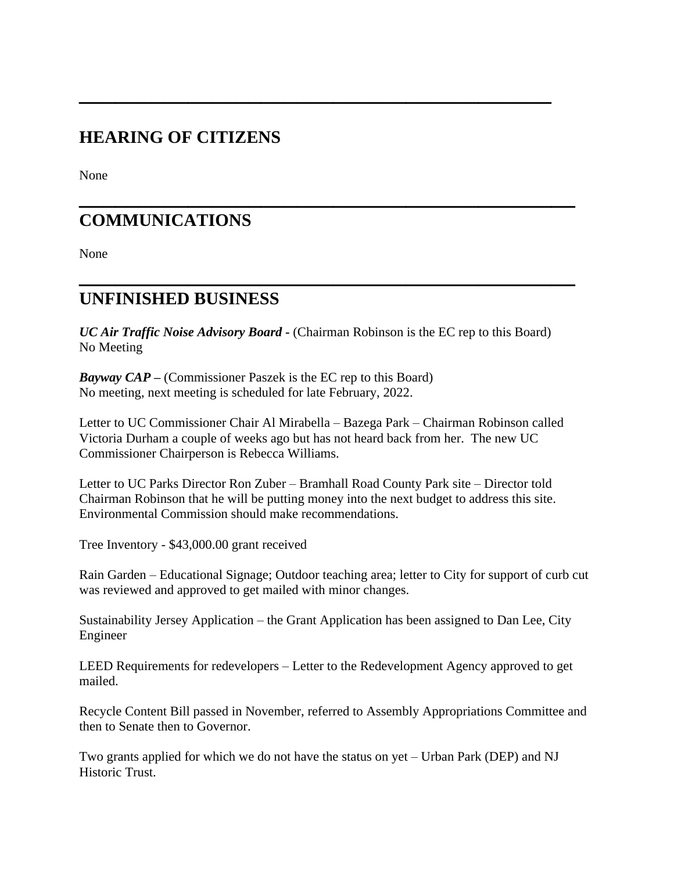#### **HEARING OF CITIZENS**

None

# **\_\_\_\_\_\_\_\_\_\_\_\_\_\_\_\_\_\_\_\_\_\_\_\_\_\_\_\_\_\_\_\_\_\_\_\_\_\_\_\_\_ COMMUNICATIONS**

None

#### **UNFINISHED BUSINESS**

*UC Air Traffic Noise Advisory Board* **-** (Chairman Robinson is the EC rep to this Board) No Meeting

**\_\_\_\_\_\_\_\_\_\_\_\_\_\_\_\_\_\_\_\_\_\_\_\_\_\_\_\_\_\_\_\_\_\_\_\_\_\_\_\_\_**

**\_\_\_\_\_\_\_\_\_\_\_\_\_\_\_\_\_\_\_\_\_\_\_\_\_\_\_\_\_\_\_\_\_\_\_\_\_\_\_**

*Bayway CAP* **–** (Commissioner Paszek is the EC rep to this Board) No meeting, next meeting is scheduled for late February, 2022.

Letter to UC Commissioner Chair Al Mirabella – Bazega Park – Chairman Robinson called Victoria Durham a couple of weeks ago but has not heard back from her. The new UC Commissioner Chairperson is Rebecca Williams.

Letter to UC Parks Director Ron Zuber – Bramhall Road County Park site – Director told Chairman Robinson that he will be putting money into the next budget to address this site. Environmental Commission should make recommendations.

Tree Inventory - \$43,000.00 grant received

Rain Garden – Educational Signage; Outdoor teaching area; letter to City for support of curb cut was reviewed and approved to get mailed with minor changes.

Sustainability Jersey Application – the Grant Application has been assigned to Dan Lee, City Engineer

LEED Requirements for redevelopers – Letter to the Redevelopment Agency approved to get mailed.

Recycle Content Bill passed in November, referred to Assembly Appropriations Committee and then to Senate then to Governor.

Two grants applied for which we do not have the status on yet – Urban Park (DEP) and NJ Historic Trust.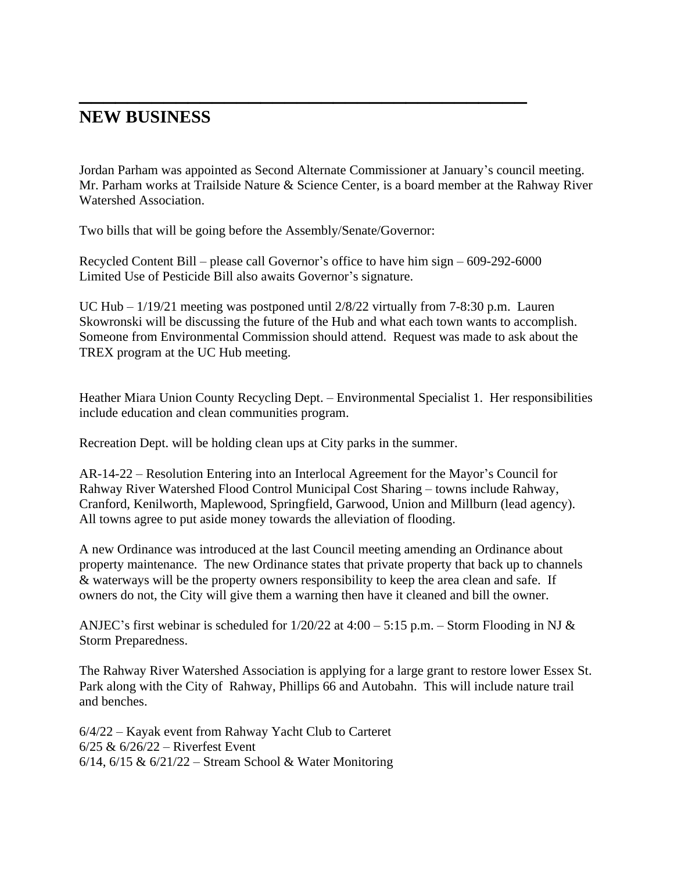#### **NEW BUSINESS**

Jordan Parham was appointed as Second Alternate Commissioner at January's council meeting. Mr. Parham works at Trailside Nature & Science Center, is a board member at the Rahway River Watershed Association.

Two bills that will be going before the Assembly/Senate/Governor:

Recycled Content Bill – please call Governor's office to have him sign – 609-292-6000 Limited Use of Pesticide Bill also awaits Governor's signature.

**\_\_\_\_\_\_\_\_\_\_\_\_\_\_\_\_\_\_\_\_\_\_\_\_\_\_\_\_\_\_\_\_\_\_\_\_\_**

UC Hub – 1/19/21 meeting was postponed until 2/8/22 virtually from 7-8:30 p.m. Lauren Skowronski will be discussing the future of the Hub and what each town wants to accomplish. Someone from Environmental Commission should attend. Request was made to ask about the TREX program at the UC Hub meeting.

Heather Miara Union County Recycling Dept. – Environmental Specialist 1. Her responsibilities include education and clean communities program.

Recreation Dept. will be holding clean ups at City parks in the summer.

AR-14-22 – Resolution Entering into an Interlocal Agreement for the Mayor's Council for Rahway River Watershed Flood Control Municipal Cost Sharing – towns include Rahway, Cranford, Kenilworth, Maplewood, Springfield, Garwood, Union and Millburn (lead agency). All towns agree to put aside money towards the alleviation of flooding.

A new Ordinance was introduced at the last Council meeting amending an Ordinance about property maintenance. The new Ordinance states that private property that back up to channels & waterways will be the property owners responsibility to keep the area clean and safe. If owners do not, the City will give them a warning then have it cleaned and bill the owner.

ANJEC's first webinar is scheduled for  $1/20/22$  at  $4:00 - 5:15$  p.m. – Storm Flooding in NJ & Storm Preparedness.

The Rahway River Watershed Association is applying for a large grant to restore lower Essex St. Park along with the City of Rahway, Phillips 66 and Autobahn. This will include nature trail and benches.

6/4/22 – Kayak event from Rahway Yacht Club to Carteret 6/25 & 6/26/22 – Riverfest Event 6/14, 6/15 & 6/21/22 – Stream School & Water Monitoring